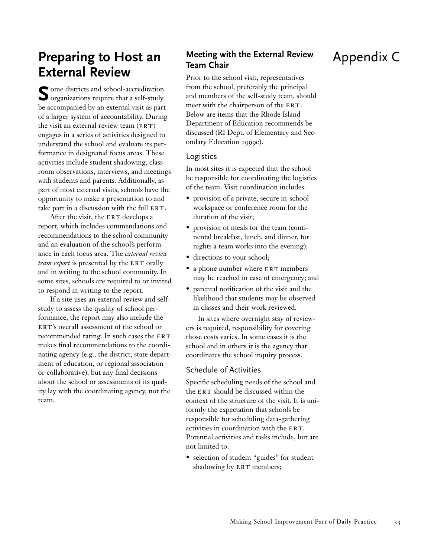## **Preparing to Host an External Review**

**S** ome districts and school-accreditation organizations require that a self-study be accompanied by an external visit as part of a larger system of accountability. During the visit an external review team  $(ERT)$ engages in a series of activities designed to understand the school and evaluate its performance in designated focus areas. These activities include student shadowing, classroom observations, interviews, and meetings with students and parents. Additionally, as part of most external visits, schools have the opportunity to make a presentation to and take part in a discussion with the full  $ERT$ .

After the visit, the ERT develops a report, which includes commendations and recommendations to the school community and an evaluation of the school's performance in each focus area. The *external review team report* is presented by the ERT orally and in writing to the school community. In some sites, schools are required to or invited to respond in writing to the report.

If a site uses an external review and selfstudy to assess the quality of school performance, the report may also include the ERT's overall assessment of the school or recommended rating. In such cases the ERT makes final recommendations to the coordinating agency (e.g., the district, state department of education, or regional association or collaborative), but any final decisions about the school or assessments of its quality lay with the coordinating agency, not the team.

## **Meeting with the External Review Team Chair**

Prior to the school visit, representatives from the school, preferably the principal and members of the self-study team, should meet with the chairperson of the ERT. Below are items that the Rhode Island Department of Education recommends be discussed (RI Dept. of Elementary and Secondary Education 1999e).

### Logistics

In most sites it is expected that the school be responsible for coordinating the logistics of the team. Visit coordination includes:

- provision of a private, secure in-school workspace or conference room for the duration of the visit;
- provision of meals for the team (continental breakfast, lunch, and dinner, for nights a team works into the evening);
- directions to your school;
- a phone number where ERT members may be reached in case of emergency; and
- parental notification of the visit and the likelihood that students may be observed in classes and their work reviewed.

In sites where overnight stay of reviewers is required, responsibility for covering those costs varies. In some cases it is the school and in others it is the agency that coordinates the school inquiry process.

### Schedule of Activities

Specific scheduling needs of the school and the ERT should be discussed within the context of the structure of the visit. It is uniformly the expectation that schools be responsible for scheduling data-gathering activities in coordination with the ERT. Potential activities and tasks include, but are not limited to:

• selection of student "guides" for student shadowing by ERT members;

# Appendix C